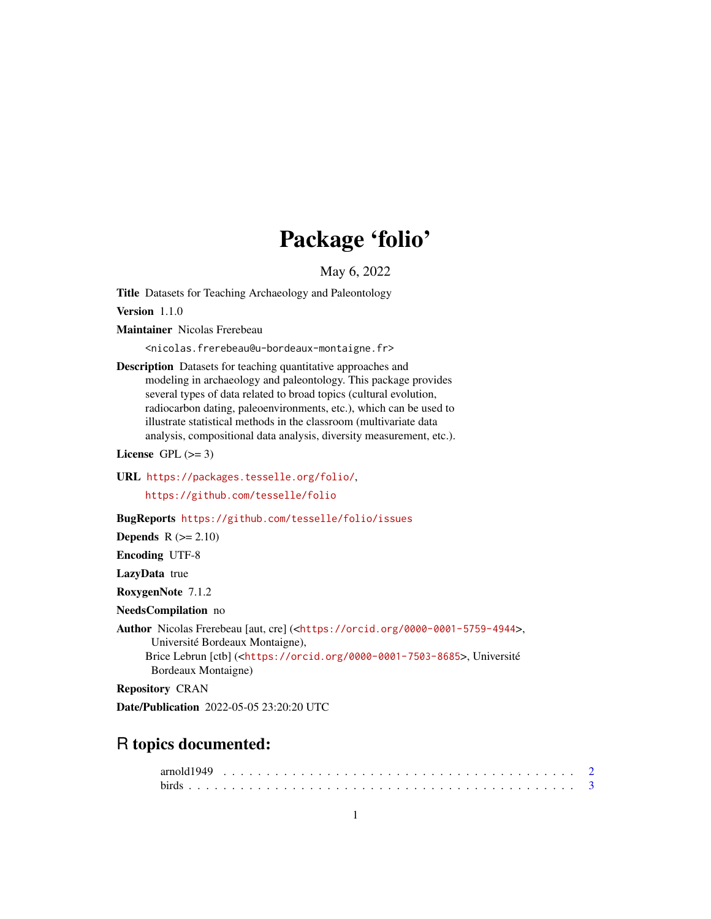## Package 'folio'

May 6, 2022

<span id="page-0-0"></span>Title Datasets for Teaching Archaeology and Paleontology

Version 1.1.0

Maintainer Nicolas Frerebeau

<nicolas.frerebeau@u-bordeaux-montaigne.fr>

Description Datasets for teaching quantitative approaches and modeling in archaeology and paleontology. This package provides several types of data related to broad topics (cultural evolution, radiocarbon dating, paleoenvironments, etc.), which can be used to illustrate statistical methods in the classroom (multivariate data analysis, compositional data analysis, diversity measurement, etc.).

License GPL  $(>= 3)$ 

URL <https://packages.tesselle.org/folio/>,

<https://github.com/tesselle/folio>

BugReports <https://github.com/tesselle/folio/issues>

Depends  $R (= 2.10)$ 

Encoding UTF-8

LazyData true

RoxygenNote 7.1.2

NeedsCompilation no

Author Nicolas Frerebeau [aut, cre] (<<https://orcid.org/0000-0001-5759-4944>>, Université Bordeaux Montaigne), Brice Lebrun [ctb] (<<https://orcid.org/0000-0001-7503-8685>>, Université Bordeaux Montaigne)

Repository CRAN

Date/Publication 2022-05-05 23:20:20 UTC

## R topics documented: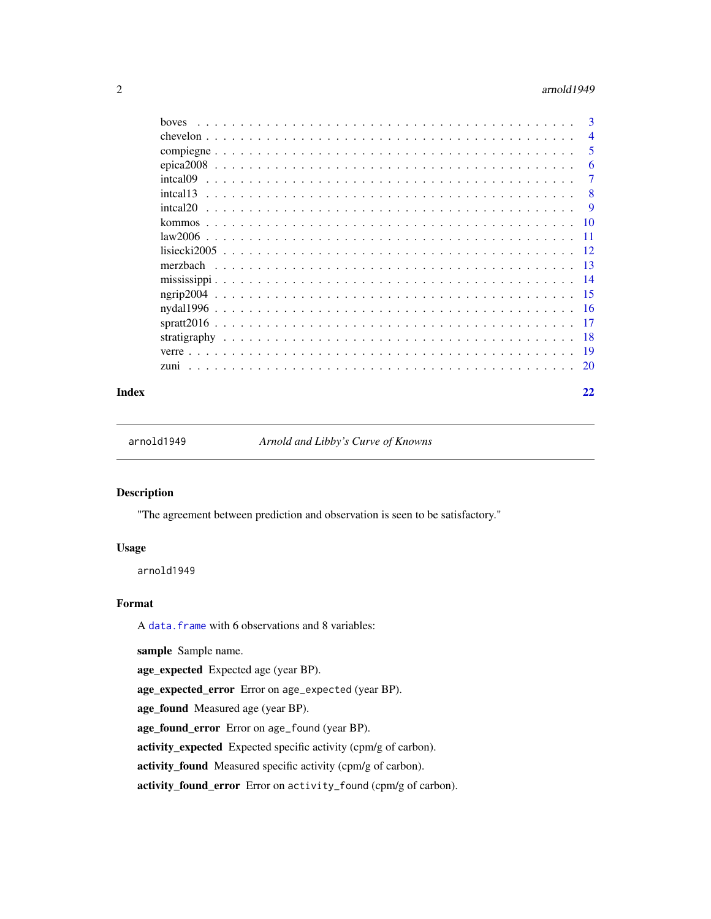#### <span id="page-1-0"></span> $2 \times 2$

| hoves           | 3              |
|-----------------|----------------|
|                 | $\overline{4}$ |
|                 | 5              |
|                 | 6              |
| intcal09        | 7              |
| intcal13        | 8              |
| inteal20        | 9              |
| kommos          | 10             |
|                 | -11            |
|                 | 12             |
|                 | -13            |
|                 | -14            |
| $n$ grip $2004$ | -15            |
|                 | -16            |
|                 | -17            |
|                 | -18            |
|                 | -19            |
| zuni            | 20             |
|                 |                |

#### **Index** [22](#page-21-0)

<span id="page-1-1"></span>arnold1949 *Arnold and Libby's Curve of Knowns*

## Description

"The agreement between prediction and observation is seen to be satisfactory."

## Usage

arnold1949

#### Format

A [data.frame](#page-0-0) with 6 observations and 8 variables:

sample Sample name.

age\_expected Expected age (year BP).

age\_expected\_error Error on age\_expected (year BP).

age\_found Measured age (year BP).

age\_found\_error Error on age\_found (year BP).

activity\_expected Expected specific activity (cpm/g of carbon).

activity\_found Measured specific activity (cpm/g of carbon).

activity\_found\_error Error on activity\_found (cpm/g of carbon).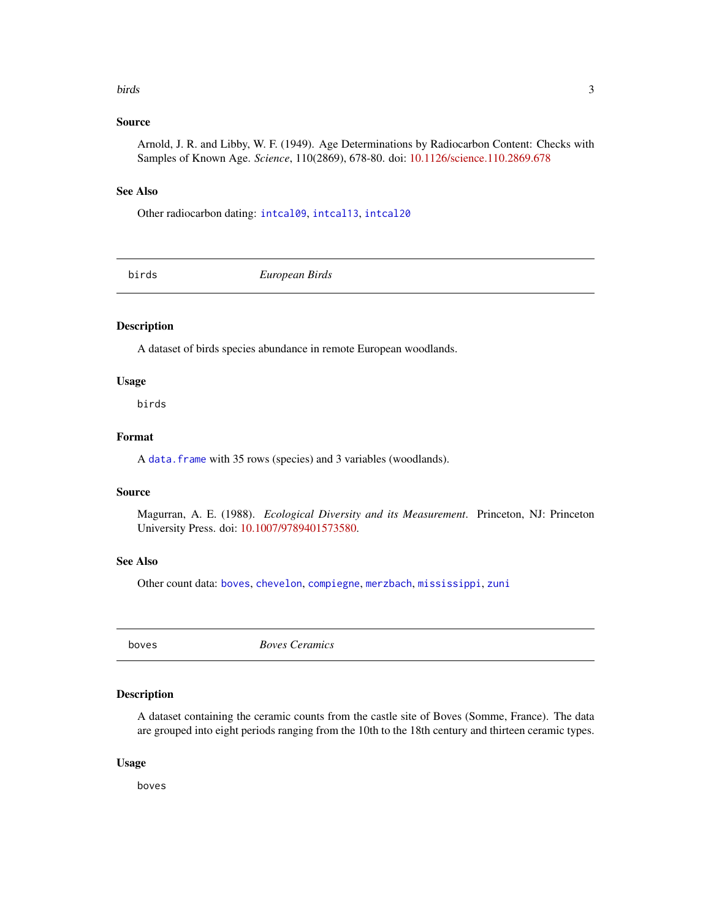#### <span id="page-2-0"></span>birds 3

### Source

Arnold, J. R. and Libby, W. F. (1949). Age Determinations by Radiocarbon Content: Checks with Samples of Known Age. *Science*, 110(2869), 678-80. doi: [10.1126/science.110.2869.678](https://doi.org/10.1126/science.110.2869.678)

### See Also

Other radiocarbon dating: [intcal09](#page-6-1), [intcal13](#page-7-1), [intcal20](#page-8-1)

<span id="page-2-2"></span>birds *European Birds*

## Description

A dataset of birds species abundance in remote European woodlands.

## Usage

birds

## Format

A [data.frame](#page-0-0) with 35 rows (species) and 3 variables (woodlands).

### Source

Magurran, A. E. (1988). *Ecological Diversity and its Measurement*. Princeton, NJ: Princeton University Press. doi: [10.1007/9789401573580.](https://doi.org/10.1007/978-94-015-7358-0)

## See Also

Other count data: [boves](#page-2-1), [chevelon](#page-3-1), [compiegne](#page-4-1), [merzbach](#page-12-1), [mississippi](#page-13-1), [zuni](#page-19-1)

<span id="page-2-1"></span>boves *Boves Ceramics*

## Description

A dataset containing the ceramic counts from the castle site of Boves (Somme, France). The data are grouped into eight periods ranging from the 10th to the 18th century and thirteen ceramic types.

#### Usage

boves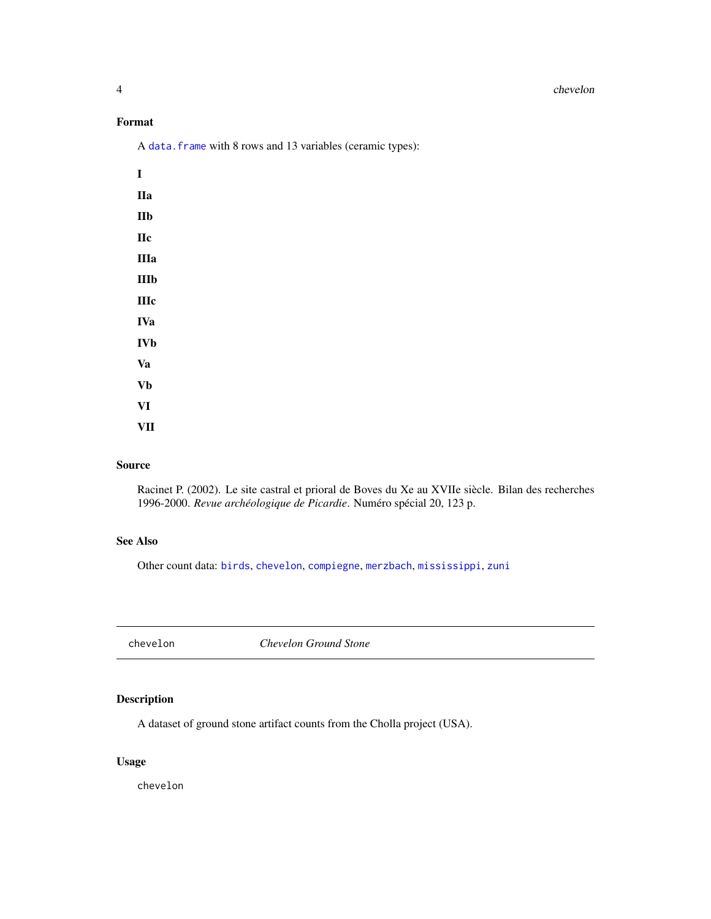#### <span id="page-3-0"></span>4 chevelon

## Format

A [data.frame](#page-0-0) with 8 rows and 13 variables (ceramic types):

| Ī           |  |  |
|-------------|--|--|
| IIa         |  |  |
| IIb         |  |  |
| <b>IIc</b>  |  |  |
| IIIa        |  |  |
| IIIb        |  |  |
| <b>IIIc</b> |  |  |
| IVa         |  |  |
| IVb         |  |  |
| Va          |  |  |
| Vb          |  |  |
| VI          |  |  |
| VII         |  |  |

## Source

Racinet P. (2002). Le site castral et prioral de Boves du Xe au XVIIe siècle. Bilan des recherches 1996-2000. *Revue archéologique de Picardie*. Numéro spécial 20, 123 p.

## See Also

Other count data: [birds](#page-2-2), [chevelon](#page-3-1), [compiegne](#page-4-1), [merzbach](#page-12-1), [mississippi](#page-13-1), [zuni](#page-19-1)

<span id="page-3-1"></span>chevelon *Chevelon Ground Stone*

## Description

A dataset of ground stone artifact counts from the Cholla project (USA).

## Usage

chevelon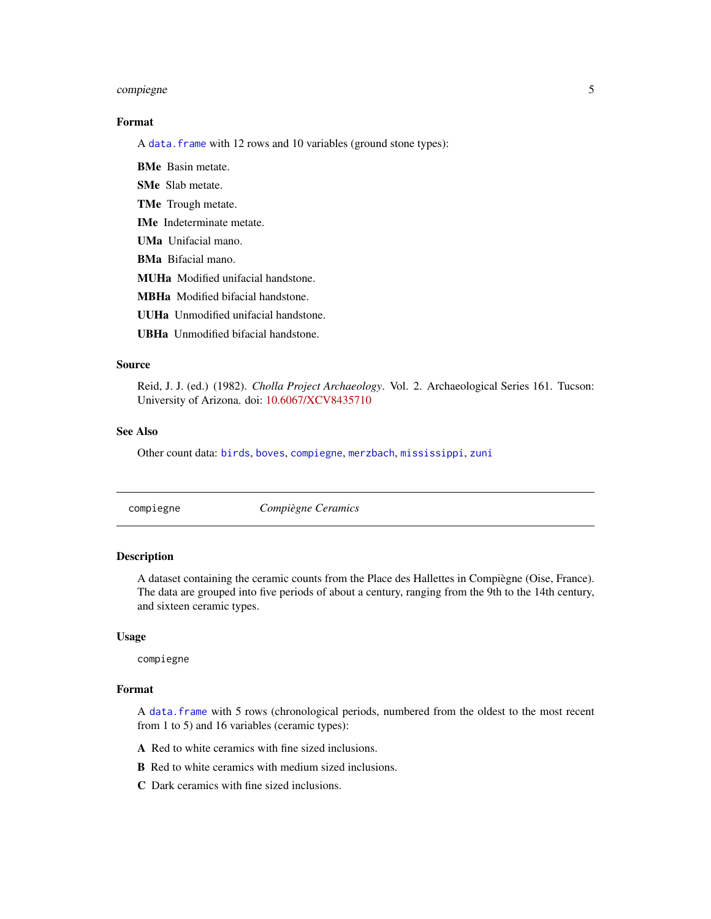## <span id="page-4-0"></span>compiegne 5

## Format

A [data.frame](#page-0-0) with 12 rows and 10 variables (ground stone types):

BMe Basin metate.

SMe Slab metate.

TMe Trough metate.

IMe Indeterminate metate.

UMa Unifacial mano.

BMa Bifacial mano.

MUHa Modified unifacial handstone.

MBHa Modified bifacial handstone.

UUHa Unmodified unifacial handstone.

UBHa Unmodified bifacial handstone.

## Source

Reid, J. J. (ed.) (1982). *Cholla Project Archaeology*. Vol. 2. Archaeological Series 161. Tucson: University of Arizona. doi: [10.6067/XCV8435710](https://doi.org/10.6067/XCV8435710)

#### See Also

Other count data: [birds](#page-2-2), [boves](#page-2-1), [compiegne](#page-4-1), [merzbach](#page-12-1), [mississippi](#page-13-1), [zuni](#page-19-1)

<span id="page-4-1"></span>

compiegne *Compiègne Ceramics*

#### **Description**

A dataset containing the ceramic counts from the Place des Hallettes in Compiègne (Oise, France). The data are grouped into five periods of about a century, ranging from the 9th to the 14th century, and sixteen ceramic types.

#### Usage

compiegne

## Format

A [data.frame](#page-0-0) with 5 rows (chronological periods, numbered from the oldest to the most recent from 1 to 5) and 16 variables (ceramic types):

A Red to white ceramics with fine sized inclusions.

B Red to white ceramics with medium sized inclusions.

C Dark ceramics with fine sized inclusions.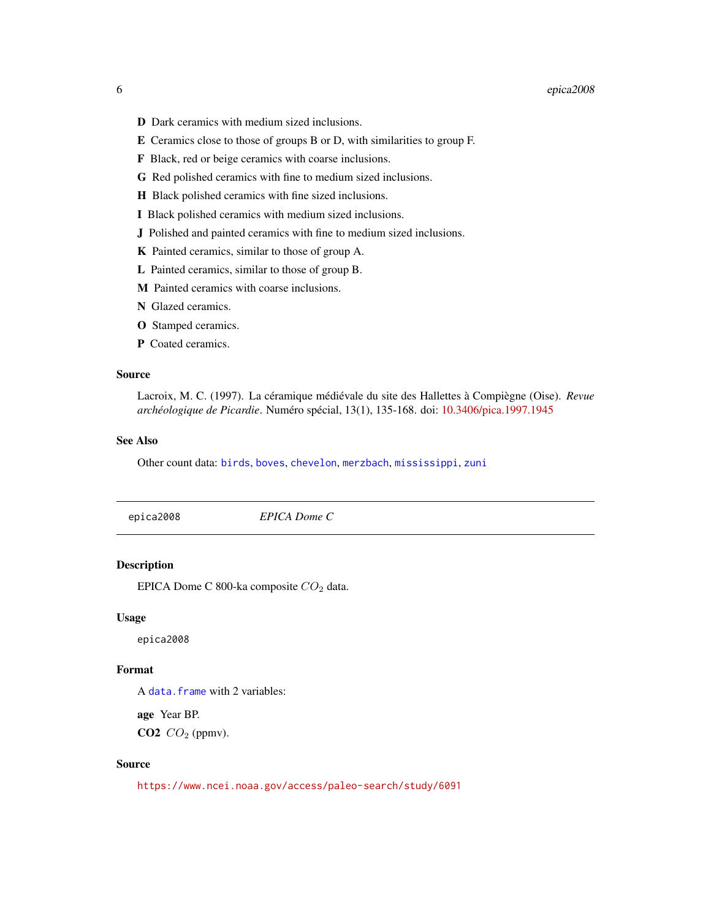- <span id="page-5-0"></span>D Dark ceramics with medium sized inclusions.
- E Ceramics close to those of groups B or D, with similarities to group F.
- F Black, red or beige ceramics with coarse inclusions.
- G Red polished ceramics with fine to medium sized inclusions.
- H Black polished ceramics with fine sized inclusions.
- I Black polished ceramics with medium sized inclusions.
- J Polished and painted ceramics with fine to medium sized inclusions.
- K Painted ceramics, similar to those of group A.
- L Painted ceramics, similar to those of group B.
- M Painted ceramics with coarse inclusions.
- N Glazed ceramics.
- O Stamped ceramics.
- P Coated ceramics.

#### Source

Lacroix, M. C. (1997). La céramique médiévale du site des Hallettes à Compiègne (Oise). *Revue archéologique de Picardie*. Numéro spécial, 13(1), 135-168. doi: [10.3406/pica.1997.1945](https://doi.org/10.3406/pica.1997.1945)

#### See Also

Other count data: [birds](#page-2-2), [boves](#page-2-1), [chevelon](#page-3-1), [merzbach](#page-12-1), [mississippi](#page-13-1), [zuni](#page-19-1)

<span id="page-5-1"></span>

| epica2008 | EPICA Dome C |  |  |
|-----------|--------------|--|--|
|-----------|--------------|--|--|

## Description

EPICA Dome C 800-ka composite  $CO<sub>2</sub>$  data.

#### Usage

epica2008

## Format

A [data.frame](#page-0-0) with 2 variables:

age Year BP.  $CO2$   $CO_2$  (ppmv).

## Source

<https://www.ncei.noaa.gov/access/paleo-search/study/6091>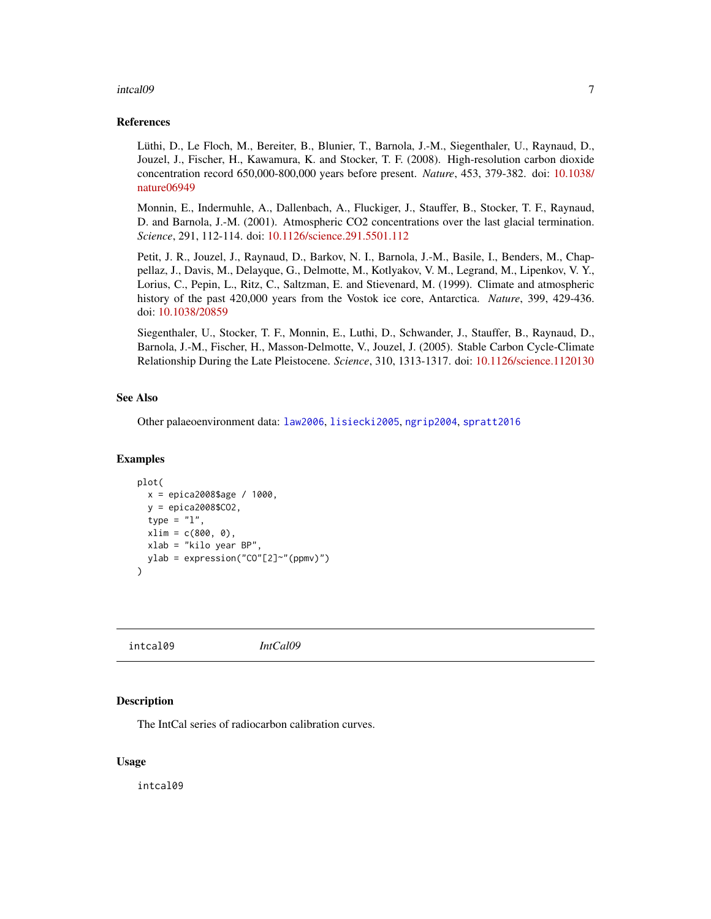#### <span id="page-6-0"></span>intcal09 7 7 7 7 7 7 7 8 7 7 7 7 7 7 7 7 8 7 7 7 7 7 7 7 8 7 7 7 7 8 7 7 7 7 7 8 7 7 7 7 7 7 7 7 7 7 7 7 7 7 7

#### References

Lüthi, D., Le Floch, M., Bereiter, B., Blunier, T., Barnola, J.-M., Siegenthaler, U., Raynaud, D., Jouzel, J., Fischer, H., Kawamura, K. and Stocker, T. F. (2008). High-resolution carbon dioxide concentration record 650,000-800,000 years before present. *Nature*, 453, 379-382. doi: [10.1038/](https://doi.org/10.1038/nature06949) [nature06949](https://doi.org/10.1038/nature06949)

Monnin, E., Indermuhle, A., Dallenbach, A., Fluckiger, J., Stauffer, B., Stocker, T. F., Raynaud, D. and Barnola, J.-M. (2001). Atmospheric CO2 concentrations over the last glacial termination. *Science*, 291, 112-114. doi: [10.1126/science.291.5501.112](https://doi.org/10.1126/science.291.5501.112)

Petit, J. R., Jouzel, J., Raynaud, D., Barkov, N. I., Barnola, J.-M., Basile, I., Benders, M., Chappellaz, J., Davis, M., Delayque, G., Delmotte, M., Kotlyakov, V. M., Legrand, M., Lipenkov, V. Y., Lorius, C., Pepin, L., Ritz, C., Saltzman, E. and Stievenard, M. (1999). Climate and atmospheric history of the past 420,000 years from the Vostok ice core, Antarctica. *Nature*, 399, 429-436. doi: [10.1038/20859](https://doi.org/10.1038/20859)

Siegenthaler, U., Stocker, T. F., Monnin, E., Luthi, D., Schwander, J., Stauffer, B., Raynaud, D., Barnola, J.-M., Fischer, H., Masson-Delmotte, V., Jouzel, J. (2005). Stable Carbon Cycle-Climate Relationship During the Late Pleistocene. *Science*, 310, 1313-1317. doi: [10.1126/science.1120130](https://doi.org/10.1126/science.1120130)

### See Also

Other palaeoenvironment data: [law2006](#page-10-1), [lisiecki2005](#page-11-1), [ngrip2004](#page-14-1), [spratt2016](#page-16-1)

#### Examples

```
plot(
 x = epica2008$age / 1000,
 y = epica2008$CO2,
 type = "1",xlim = c(800, 0),xlab = "kilo year BP",
 ylab = expression("CO"[2]~"(ppmv)")
)
```
<span id="page-6-1"></span>intcal09 *IntCal09*

#### Description

The IntCal series of radiocarbon calibration curves.

#### Usage

intcal09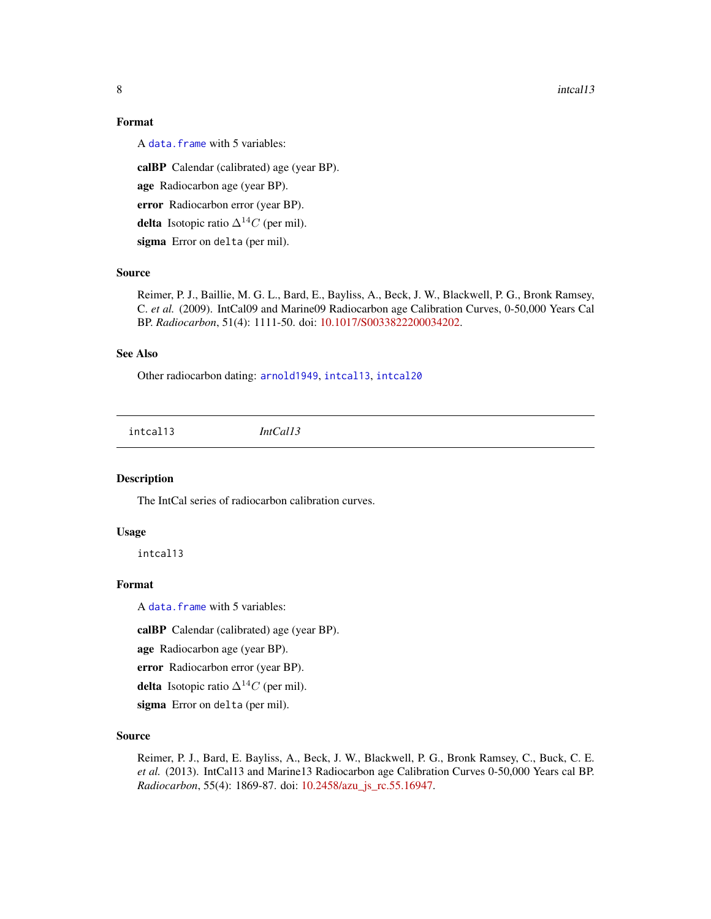## Format

A [data.frame](#page-0-0) with 5 variables:

calBP Calendar (calibrated) age (year BP).

age Radiocarbon age (year BP).

error Radiocarbon error (year BP).

**delta** Isotopic ratio  $\Delta^{14}C$  (per mil).

sigma Error on delta (per mil).

## Source

Reimer, P. J., Baillie, M. G. L., Bard, E., Bayliss, A., Beck, J. W., Blackwell, P. G., Bronk Ramsey, C. *et al.* (2009). IntCal09 and Marine09 Radiocarbon age Calibration Curves, 0-50,000 Years Cal BP. *Radiocarbon*, 51(4): 1111-50. doi: [10.1017/S0033822200034202.](https://doi.org/10.1017/S0033822200034202)

## See Also

Other radiocarbon dating: [arnold1949](#page-1-1), [intcal13](#page-7-1), [intcal20](#page-8-1)

<span id="page-7-1"></span>intcal13 *IntCal13*

## Description

The IntCal series of radiocarbon calibration curves.

#### Usage

intcal13

## Format

A [data.frame](#page-0-0) with 5 variables:

calBP Calendar (calibrated) age (year BP).

age Radiocarbon age (year BP).

error Radiocarbon error (year BP).

**delta** Isotopic ratio  $\Delta^{14}C$  (per mil).

sigma Error on delta (per mil).

#### Source

Reimer, P. J., Bard, E. Bayliss, A., Beck, J. W., Blackwell, P. G., Bronk Ramsey, C., Buck, C. E. *et al.* (2013). IntCal13 and Marine13 Radiocarbon age Calibration Curves 0-50,000 Years cal BP. *Radiocarbon*, 55(4): 1869-87. doi: [10.2458/azu\\_js\\_rc.55.16947.](https://doi.org/10.2458/azu_js_rc.55.16947)

<span id="page-7-0"></span>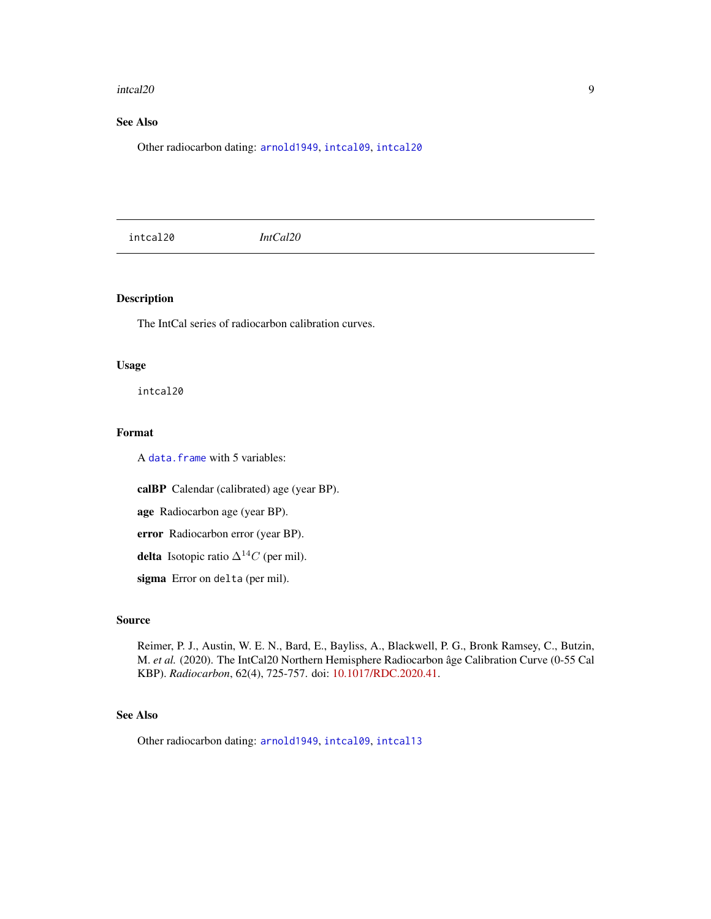#### <span id="page-8-0"></span>intcal20 9

## See Also

Other radiocarbon dating: [arnold1949](#page-1-1), [intcal09](#page-6-1), [intcal20](#page-8-1)

<span id="page-8-1"></span>intcal20 *IntCal20*

## Description

The IntCal series of radiocarbon calibration curves.

## Usage

intcal20

#### Format

A [data.frame](#page-0-0) with 5 variables:

calBP Calendar (calibrated) age (year BP).

age Radiocarbon age (year BP).

error Radiocarbon error (year BP).

delta Isotopic ratio  $\Delta^{14}C$  (per mil).

sigma Error on delta (per mil).

## Source

Reimer, P. J., Austin, W. E. N., Bard, E., Bayliss, A., Blackwell, P. G., Bronk Ramsey, C., Butzin, M. *et al.* (2020). The IntCal20 Northern Hemisphere Radiocarbon âge Calibration Curve (0-55 Cal KBP). *Radiocarbon*, 62(4), 725-757. doi: [10.1017/RDC.2020.41.](https://doi.org/10.1017/RDC.2020.41)

## See Also

Other radiocarbon dating: [arnold1949](#page-1-1), [intcal09](#page-6-1), [intcal13](#page-7-1)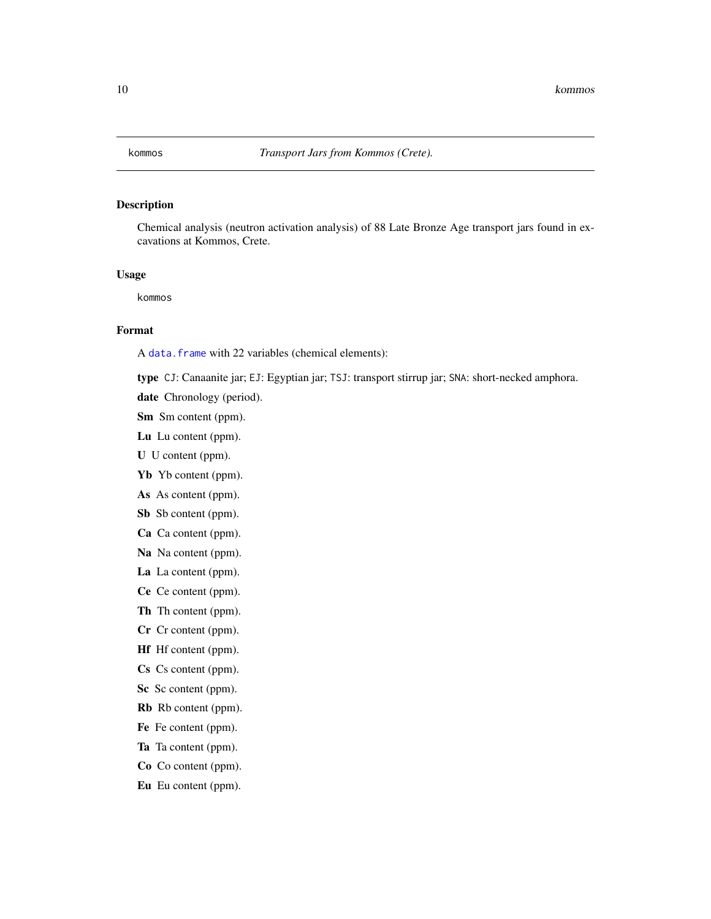<span id="page-9-1"></span><span id="page-9-0"></span>

Chemical analysis (neutron activation analysis) of 88 Late Bronze Age transport jars found in excavations at Kommos, Crete.

#### Usage

kommos

#### Format

A [data.frame](#page-0-0) with 22 variables (chemical elements):

type CJ: Canaanite jar; EJ: Egyptian jar; TSJ: transport stirrup jar; SNA: short-necked amphora.

- date Chronology (period).
- Sm Sm content (ppm).
- Lu Lu content (ppm).
- U U content (ppm).
- Yb Yb content (ppm).
- As As content (ppm).
- Sb Sb content (ppm).
- Ca Ca content (ppm).
- Na Na content (ppm).
- La La content (ppm).
- Ce Ce content (ppm).
- Th Th content (ppm).
- Cr Cr content (ppm).
- Hf Hf content (ppm).
- Cs Cs content (ppm).
- Sc Sc content (ppm).
- Rb Rb content (ppm).
- Fe Fe content (ppm).
- Ta Ta content (ppm).
- Co Co content (ppm).
- Eu Eu content (ppm).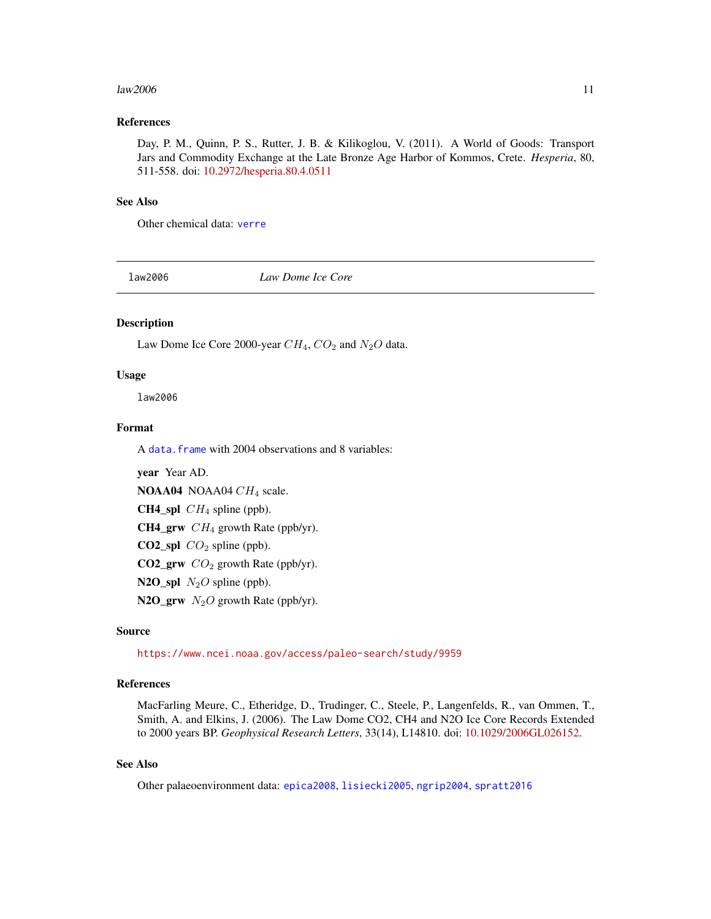#### <span id="page-10-0"></span> $\mu$ aw2006 11

## References

Day, P. M., Quinn, P. S., Rutter, J. B. & Kilikoglou, V. (2011). A World of Goods: Transport Jars and Commodity Exchange at the Late Bronze Age Harbor of Kommos, Crete. *Hesperia*, 80, 511-558. doi: [10.2972/hesperia.80.4.0511](https://doi.org/10.2972/hesperia.80.4.0511)

#### See Also

Other chemical data: [verre](#page-18-1)

<span id="page-10-1"></span>law2006 *Law Dome Ice Core*

## Description

Law Dome Ice Core 2000-year  $CH_4$ ,  $CO_2$  and  $N_2O$  data.

#### Usage

law2006

## Format

A [data.frame](#page-0-0) with 2004 observations and 8 variables:

year Year AD. NOAA04 NOAA04 CH<sub>4</sub> scale. **CH4\_spl**  $CH_4$  spline (ppb). **CH4\_grw**  $CH_4$  growth Rate (ppb/yr). **CO2\_spl**  $CO<sub>2</sub>$  spline (ppb). **CO2\_grw**  $CO<sub>2</sub>$  growth Rate (ppb/yr). N2O\_spl  $N_2O$  spline (ppb). N2O\_grw  $N_2O$  growth Rate (ppb/yr).

## Source

<https://www.ncei.noaa.gov/access/paleo-search/study/9959>

## References

MacFarling Meure, C., Etheridge, D., Trudinger, C., Steele, P., Langenfelds, R., van Ommen, T., Smith, A. and Elkins, J. (2006). The Law Dome CO2, CH4 and N2O Ice Core Records Extended to 2000 years BP. *Geophysical Research Letters*, 33(14), L14810. doi: [10.1029/2006GL026152.](https://doi.org/10.1029/2006GL026152)

## See Also

Other palaeoenvironment data: [epica2008](#page-5-1), [lisiecki2005](#page-11-1), [ngrip2004](#page-14-1), [spratt2016](#page-16-1)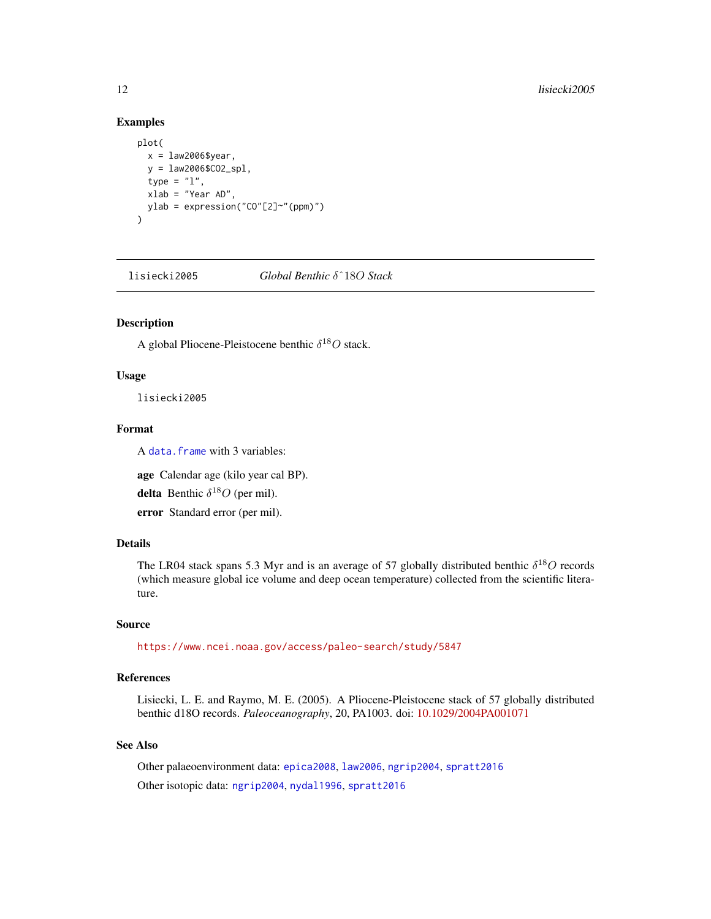## Examples

```
plot(
  x = law2006$year,
  y = law2006$CO2_spl,
  type = "1",xlab = "Year AD",
  ylab = expression("CO"[2]~"(ppm)")
\mathcal{L}
```
<span id="page-11-1"></span>lisiecki2005 *Global Benthic* δˆ18O *Stack*

## Description

A global Pliocene-Pleistocene benthic  $\delta^{18}O$  stack.

## Usage

lisiecki2005

## Format

A [data.frame](#page-0-0) with 3 variables:

age Calendar age (kilo year cal BP).

**delta** Benthic  $\delta^{18}O$  (per mil).

error Standard error (per mil).

## Details

The LR04 stack spans 5.3 Myr and is an average of 57 globally distributed benthic  $\delta^{18}O$  records (which measure global ice volume and deep ocean temperature) collected from the scientific literature.

#### Source

<https://www.ncei.noaa.gov/access/paleo-search/study/5847>

## References

Lisiecki, L. E. and Raymo, M. E. (2005). A Pliocene-Pleistocene stack of 57 globally distributed benthic d18O records. *Paleoceanography*, 20, PA1003. doi: [10.1029/2004PA001071](https://doi.org/10.1029/2004PA001071)

## See Also

Other palaeoenvironment data: [epica2008](#page-5-1), [law2006](#page-10-1), [ngrip2004](#page-14-1), [spratt2016](#page-16-1) Other isotopic data: [ngrip2004](#page-14-1), [nydal1996](#page-15-1), [spratt2016](#page-16-1)

<span id="page-11-0"></span>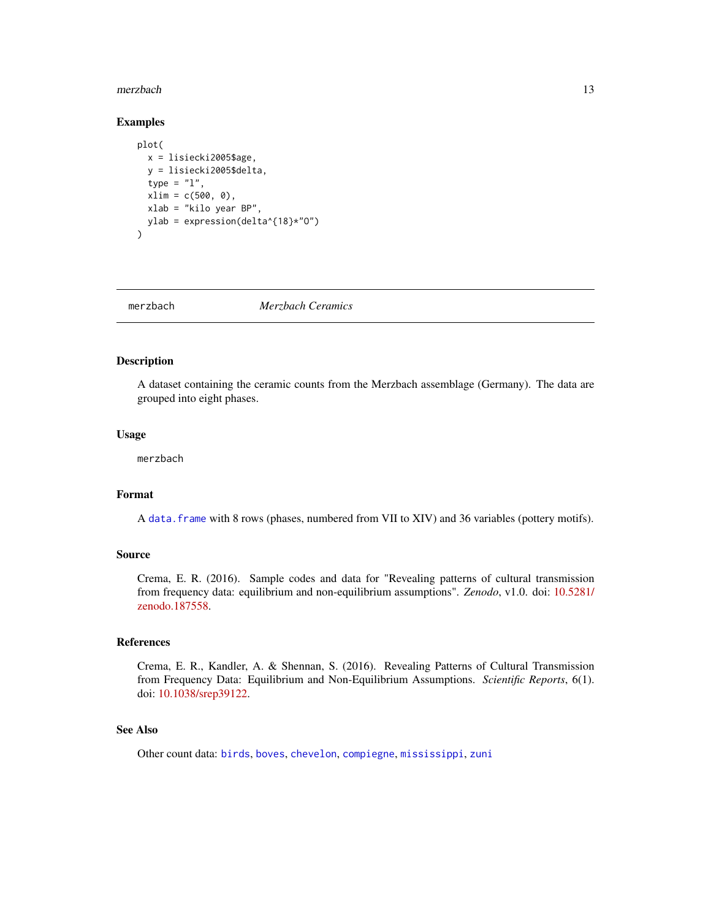#### <span id="page-12-0"></span>merzbach and the contract of the contract of the contract of the contract of the contract of the contract of the contract of the contract of the contract of the contract of the contract of the contract of the contract of t

## Examples

```
plot(
  x = lisiecki2005$age,
  y = lisiecki2005$delta,
  type = "1",xlim = c(500, 0),xlab = "kilo year BP",
  ylab = expression(delta^{18}*"O")
)
```
<span id="page-12-1"></span>merzbach *Merzbach Ceramics*

## Description

A dataset containing the ceramic counts from the Merzbach assemblage (Germany). The data are grouped into eight phases.

#### Usage

merzbach

## Format

A [data.frame](#page-0-0) with 8 rows (phases, numbered from VII to XIV) and 36 variables (pottery motifs).

## Source

Crema, E. R. (2016). Sample codes and data for "Revealing patterns of cultural transmission from frequency data: equilibrium and non-equilibrium assumptions". *Zenodo*, v1.0. doi: [10.5281/](https://doi.org/10.5281/zenodo.187558) [zenodo.187558.](https://doi.org/10.5281/zenodo.187558)

## References

Crema, E. R., Kandler, A. & Shennan, S. (2016). Revealing Patterns of Cultural Transmission from Frequency Data: Equilibrium and Non-Equilibrium Assumptions. *Scientific Reports*, 6(1). doi: [10.1038/srep39122.](https://doi.org/10.1038/srep39122)

## See Also

Other count data: [birds](#page-2-2), [boves](#page-2-1), [chevelon](#page-3-1), [compiegne](#page-4-1), [mississippi](#page-13-1), [zuni](#page-19-1)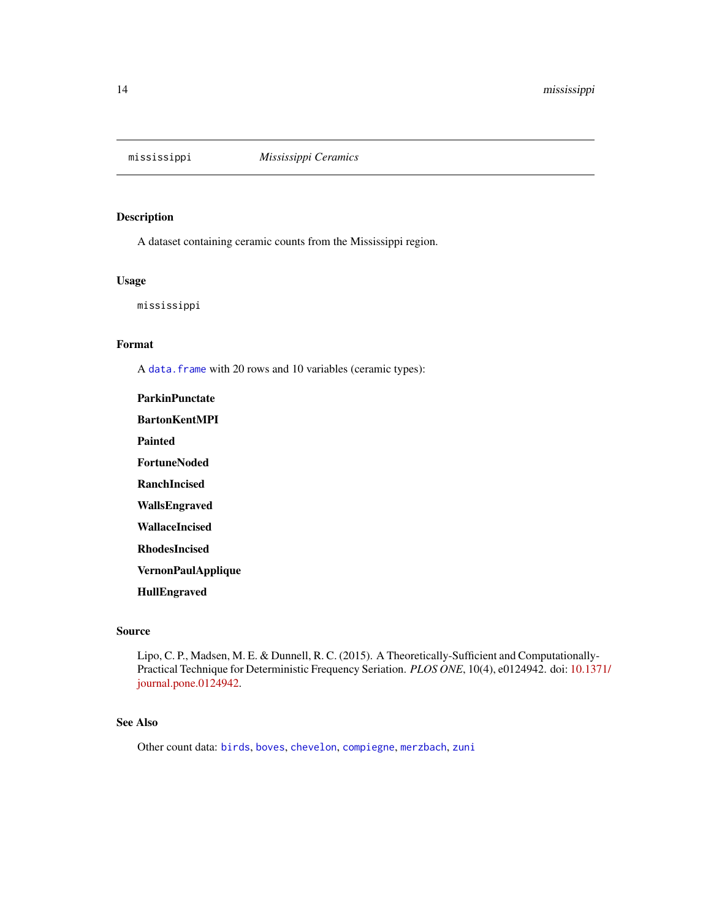<span id="page-13-1"></span><span id="page-13-0"></span>

A dataset containing ceramic counts from the Mississippi region.

## Usage

mississippi

## Format

A [data.frame](#page-0-0) with 20 rows and 10 variables (ceramic types):

ParkinPunctate BartonKentMPI Painted **FortuneNoded** RanchIncised WallsEngraved WallaceIncised RhodesIncised VernonPaulApplique HullEngraved

## Source

Lipo, C. P., Madsen, M. E. & Dunnell, R. C. (2015). A Theoretically-Sufficient and Computationally-Practical Technique for Deterministic Frequency Seriation. *PLOS ONE*, 10(4), e0124942. doi: [10.13](https://doi.org/10.1371/journal.pone.0124942)71/ [journal.pone.0124942.](https://doi.org/10.1371/journal.pone.0124942)

## See Also

Other count data: [birds](#page-2-2), [boves](#page-2-1), [chevelon](#page-3-1), [compiegne](#page-4-1), [merzbach](#page-12-1), [zuni](#page-19-1)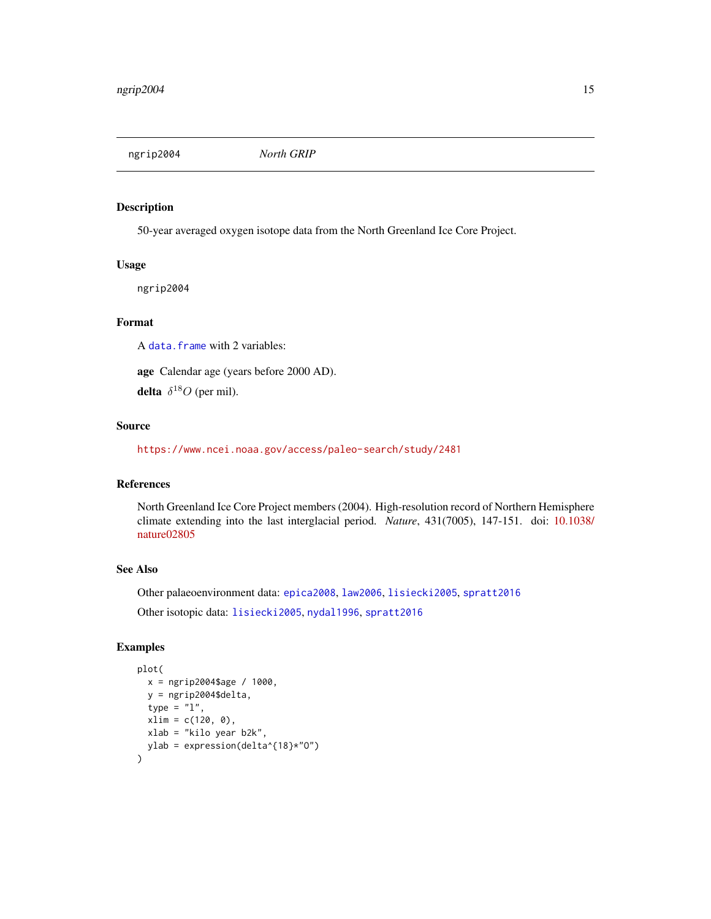<span id="page-14-1"></span><span id="page-14-0"></span>ngrip2004 *North GRIP*

#### Description

50-year averaged oxygen isotope data from the North Greenland Ice Core Project.

## Usage

ngrip2004

## Format

A [data.frame](#page-0-0) with 2 variables:

age Calendar age (years before 2000 AD).

**delta**  $\delta^{18}O$  (per mil).

## Source

<https://www.ncei.noaa.gov/access/paleo-search/study/2481>

#### References

North Greenland Ice Core Project members (2004). High-resolution record of Northern Hemisphere climate extending into the last interglacial period. *Nature*, 431(7005), 147-151. doi: [10.1038/](https://doi.org/10.1038/nature02805) [nature02805](https://doi.org/10.1038/nature02805)

## See Also

Other palaeoenvironment data: [epica2008](#page-5-1), [law2006](#page-10-1), [lisiecki2005](#page-11-1), [spratt2016](#page-16-1)

Other isotopic data: [lisiecki2005](#page-11-1), [nydal1996](#page-15-1), [spratt2016](#page-16-1)

## Examples

```
plot(
  x = ngrip2004$age / 1000,
  y = ngrip2004$delta,
  type = "1",
  xlim = c(120, 0),xlab = "kilo year b2k",
  ylab = expression(delta^{18}*"O")
\overline{\phantom{a}}
```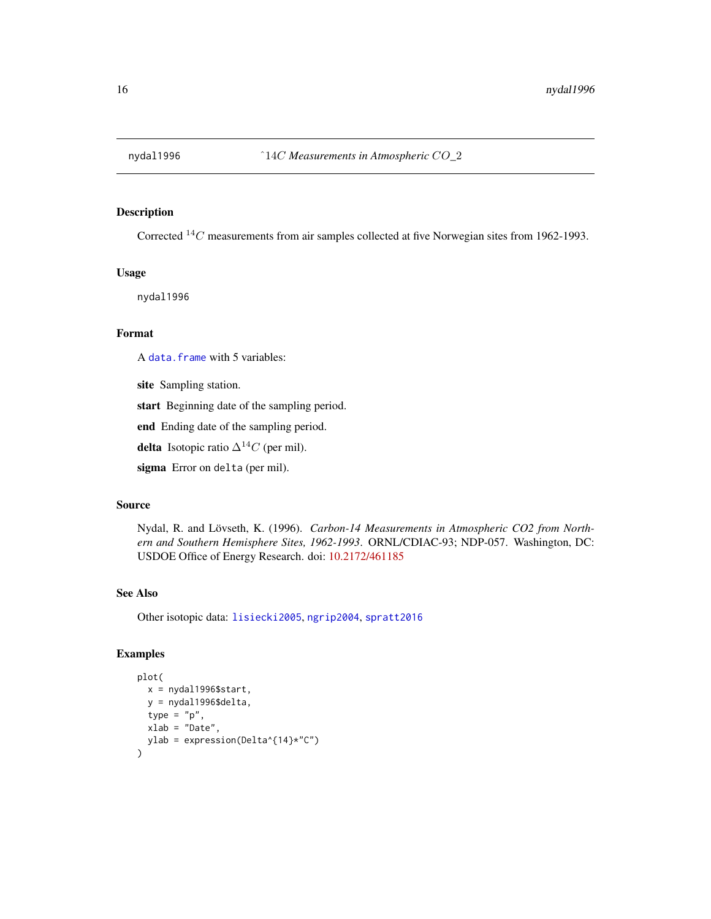<span id="page-15-1"></span><span id="page-15-0"></span>

Corrected  ${}^{14}C$  measurements from air samples collected at five Norwegian sites from 1962-1993.

## Usage

nydal1996

## Format

A [data.frame](#page-0-0) with 5 variables:

site Sampling station.

start Beginning date of the sampling period.

end Ending date of the sampling period.

delta Isotopic ratio  $\Delta^{14}C$  (per mil).

sigma Error on delta (per mil).

## Source

Nydal, R. and Lövseth, K. (1996). *Carbon-14 Measurements in Atmospheric CO2 from Northern and Southern Hemisphere Sites, 1962-1993*. ORNL/CDIAC-93; NDP-057. Washington, DC: USDOE Office of Energy Research. doi: [10.2172/461185](https://doi.org/10.2172/461185)

## See Also

Other isotopic data: [lisiecki2005](#page-11-1), [ngrip2004](#page-14-1), [spratt2016](#page-16-1)

## Examples

```
plot(
  x = nydal1996$start,
  y = nydal1996$delta,
  type = "p",
  xlab = "Date",
  ylab = expression(Delta^{14}*"C")
\overline{\phantom{a}}
```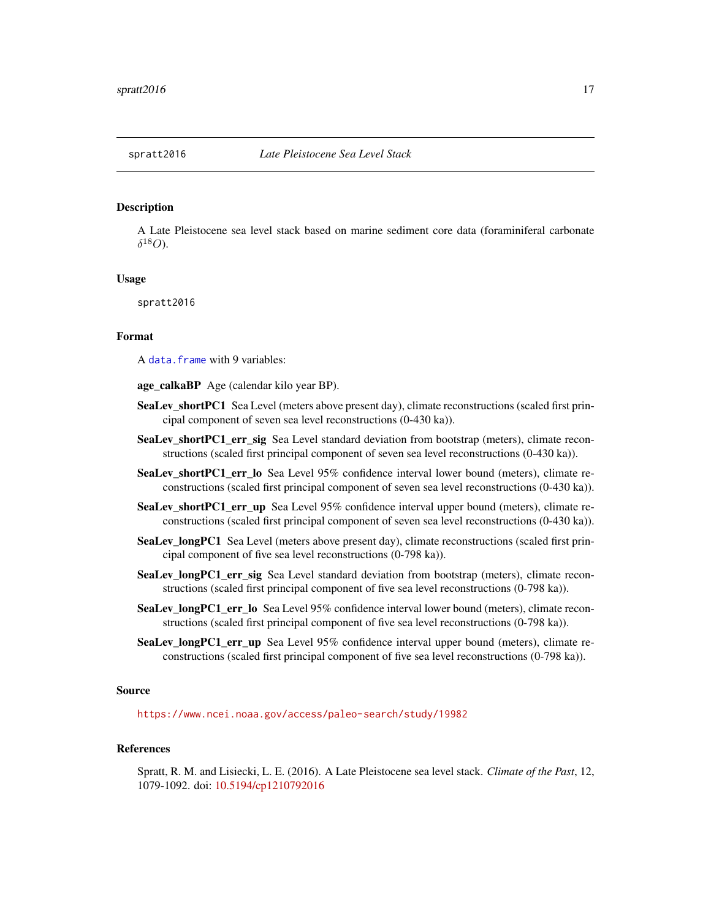<span id="page-16-1"></span><span id="page-16-0"></span>A Late Pleistocene sea level stack based on marine sediment core data (foraminiferal carbonate  $\delta^{18}O$ ).

## Usage

spratt2016

#### Format

A [data.frame](#page-0-0) with 9 variables:

age\_calkaBP Age (calendar kilo year BP).

- SeaLev\_shortPC1 Sea Level (meters above present day), climate reconstructions (scaled first principal component of seven sea level reconstructions (0-430 ka)).
- SeaLev\_shortPC1\_err\_sig Sea Level standard deviation from bootstrap (meters), climate reconstructions (scaled first principal component of seven sea level reconstructions (0-430 ka)).
- SeaLev\_shortPC1\_err\_lo Sea Level 95% confidence interval lower bound (meters), climate reconstructions (scaled first principal component of seven sea level reconstructions (0-430 ka)).
- SeaLev\_shortPC1\_err\_up Sea Level 95% confidence interval upper bound (meters), climate reconstructions (scaled first principal component of seven sea level reconstructions (0-430 ka)).
- SeaLev\_longPC1 Sea Level (meters above present day), climate reconstructions (scaled first principal component of five sea level reconstructions (0-798 ka)).
- SeaLev\_longPC1\_err\_sig Sea Level standard deviation from bootstrap (meters), climate reconstructions (scaled first principal component of five sea level reconstructions (0-798 ka)).
- SeaLev\_longPC1\_err\_lo Sea Level 95% confidence interval lower bound (meters), climate reconstructions (scaled first principal component of five sea level reconstructions (0-798 ka)).
- SeaLev\_longPC1\_err\_up Sea Level 95% confidence interval upper bound (meters), climate reconstructions (scaled first principal component of five sea level reconstructions (0-798 ka)).

#### Source

<https://www.ncei.noaa.gov/access/paleo-search/study/19982>

#### References

Spratt, R. M. and Lisiecki, L. E. (2016). A Late Pleistocene sea level stack. *Climate of the Past*, 12, 1079-1092. doi: [10.5194/cp1210792016](https://doi.org/10.5194/cp-12-1079-2016)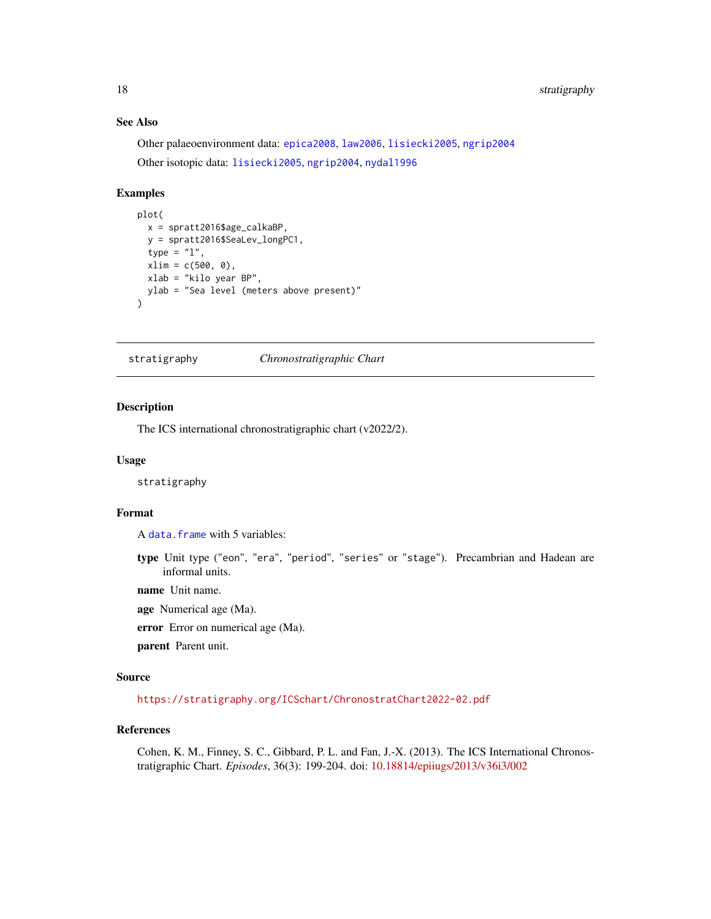## <span id="page-17-0"></span>18 stratigraphy

## See Also

Other palaeoenvironment data: [epica2008](#page-5-1), [law2006](#page-10-1), [lisiecki2005](#page-11-1), [ngrip2004](#page-14-1) Other isotopic data: [lisiecki2005](#page-11-1), [ngrip2004](#page-14-1), [nydal1996](#page-15-1)

## Examples

```
plot(
  x = spratt2016$age_calkaBP,
  y = spratt2016$SeaLev_longPC1,
  type = "1",xlim = c(500, 0),xlab = "kilo year BP",
  ylab = "Sea level (meters above present)"
)
```
stratigraphy *Chronostratigraphic Chart*

#### Description

The ICS international chronostratigraphic chart (v2022/2).

#### Usage

stratigraphy

## Format

A [data.frame](#page-0-0) with 5 variables:

type Unit type ("eon", "era", "period", "series" or "stage"). Precambrian and Hadean are informal units.

name Unit name.

age Numerical age (Ma).

error Error on numerical age (Ma).

parent Parent unit.

## Source

<https://stratigraphy.org/ICSchart/ChronostratChart2022-02.pdf>

## References

Cohen, K. M., Finney, S. C., Gibbard, P. L. and Fan, J.-X. (2013). The ICS International Chronostratigraphic Chart. *Episodes*, 36(3): 199-204. doi: [10.18814/epiiugs/2013/v36i3/002](https://doi.org/10.18814/epiiugs/2013/v36i3/002)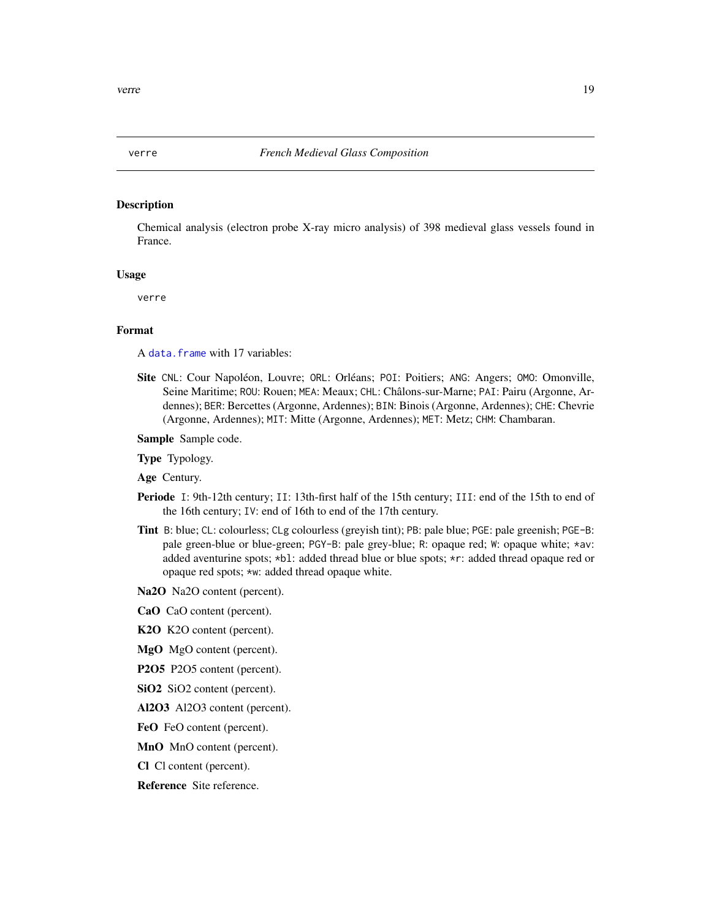<span id="page-18-1"></span><span id="page-18-0"></span>

Chemical analysis (electron probe X-ray micro analysis) of 398 medieval glass vessels found in France.

#### Usage

verre

## Format

A [data.frame](#page-0-0) with 17 variables:

Site CNL: Cour Napoléon, Louvre; ORL: Orléans; POI: Poitiers; ANG: Angers; OMO: Omonville, Seine Maritime; ROU: Rouen; MEA: Meaux; CHL: Châlons-sur-Marne; PAI: Pairu (Argonne, Ardennes); BER: Bercettes (Argonne, Ardennes); BIN: Binois (Argonne, Ardennes); CHE: Chevrie (Argonne, Ardennes); MIT: Mitte (Argonne, Ardennes); MET: Metz; CHM: Chambaran.

Sample Sample code.

Type Typology.

Age Century.

- Periode I: 9th-12th century; II: 13th-first half of the 15th century; III: end of the 15th to end of the 16th century; IV: end of 16th to end of the 17th century.
- Tint B: blue; CL: colourless; CLg colourless (greyish tint); PB: pale blue; PGE: pale greenish; PGE-B: pale green-blue or blue-green; PGY-B: pale grey-blue; R: opaque red; W: opaque white; \*av: added aventurine spots; \*bl: added thread blue or blue spots; \*r: added thread opaque red or opaque red spots; \*w: added thread opaque white.
- Na<sub>2</sub>O Na<sub>2</sub>O content (percent).
- CaO CaO content (percent).
- K2O K2O content (percent).
- MgO MgO content (percent).
- P2O5 P2O5 content (percent).
- SiO2 SiO2 content (percent).
- Al2O3 Al2O3 content (percent).
- FeO FeO content (percent).
- MnO MnO content (percent).
- Cl Cl content (percent).

Reference Site reference.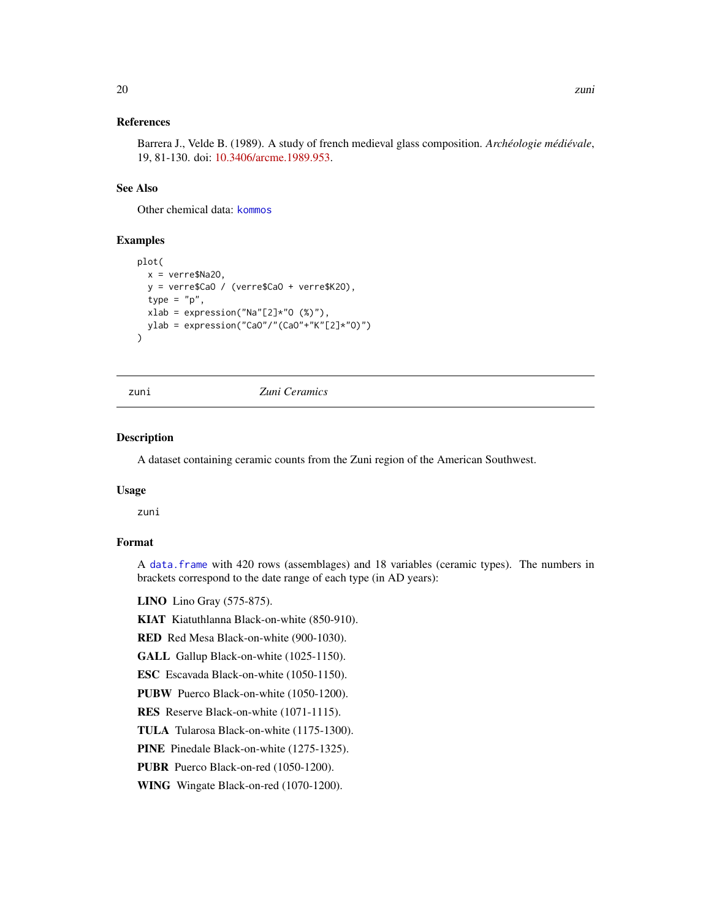## <span id="page-19-0"></span>References

Barrera J., Velde B. (1989). A study of french medieval glass composition. *Archéologie médiévale*, 19, 81-130. doi: [10.3406/arcme.1989.953.](https://doi.org/10.3406/arcme.1989.953)

## See Also

Other chemical data: [kommos](#page-9-1)

## Examples

```
plot(
  x = verre$Na2O,
  y = verre$CaO / (verre$CaO + verre$K2O),
  type = "p",
  xlab = expression("Na" [2]*"0 (%)"),
  ylab = expression("CaO"/"(CaO"+"K"[2]*"O)")
)
```
<span id="page-19-1"></span>

#### zuni *Zuni Ceramics*

#### Description

A dataset containing ceramic counts from the Zuni region of the American Southwest.

## Usage

zuni

## Format

A [data.frame](#page-0-0) with 420 rows (assemblages) and 18 variables (ceramic types). The numbers in brackets correspond to the date range of each type (in AD years):

LINO Lino Gray (575-875).

KIAT Kiatuthlanna Black-on-white (850-910).

RED Red Mesa Black-on-white (900-1030).

GALL Gallup Black-on-white (1025-1150).

ESC Escavada Black-on-white (1050-1150).

PUBW Puerco Black-on-white (1050-1200).

RES Reserve Black-on-white (1071-1115).

TULA Tularosa Black-on-white (1175-1300).

PINE Pinedale Black-on-white (1275-1325).

PUBR Puerco Black-on-red (1050-1200).

WING Wingate Black-on-red (1070-1200).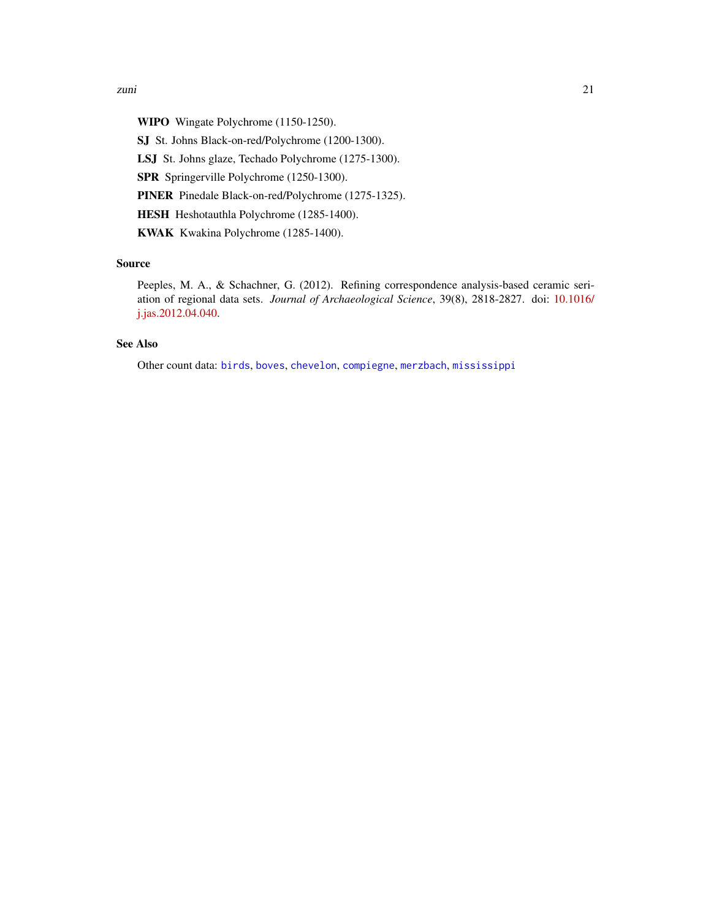<span id="page-20-0"></span>WIPO Wingate Polychrome (1150-1250).

SJ St. Johns Black-on-red/Polychrome (1200-1300).

LSJ St. Johns glaze, Techado Polychrome (1275-1300).

SPR Springerville Polychrome (1250-1300).

PINER Pinedale Black-on-red/Polychrome (1275-1325).

HESH Heshotauthla Polychrome (1285-1400).

KWAK Kwakina Polychrome (1285-1400).

## Source

Peeples, M. A., & Schachner, G. (2012). Refining correspondence analysis-based ceramic seriation of regional data sets. *Journal of Archaeological Science*, 39(8), 2818-2827. doi: [10.1016/](https://doi.org/10.1016/j.jas.2012.04.040) [j.jas.2012.04.040.](https://doi.org/10.1016/j.jas.2012.04.040)

## See Also

Other count data: [birds](#page-2-2), [boves](#page-2-1), [chevelon](#page-3-1), [compiegne](#page-4-1), [merzbach](#page-12-1), [mississippi](#page-13-1)